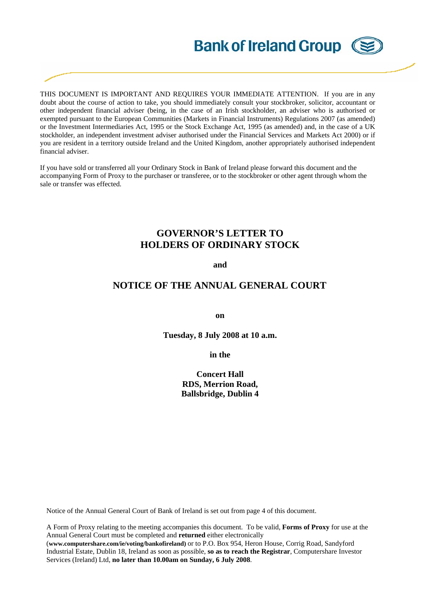# **Bank of Ireland Group**

THIS DOCUMENT IS IMPORTANT AND REQUIRES YOUR IMMEDIATE ATTENTION. If you are in any doubt about the course of action to take, you should immediately consult your stockbroker, solicitor, accountant or other independent financial adviser (being, in the case of an Irish stockholder, an adviser who is authorised or exempted pursuant to the European Communities (Markets in Financial Instruments) Regulations 2007 (as amended) or the Investment Intermediaries Act, 1995 or the Stock Exchange Act, 1995 (as amended) and, in the case of a UK stockholder, an independent investment adviser authorised under the Financial Services and Markets Act 2000) or if you are resident in a territory outside Ireland and the United Kingdom, another appropriately authorised independent financial adviser.

If you have sold or transferred all your Ordinary Stock in Bank of Ireland please forward this document and the accompanying Form of Proxy to the purchaser or transferee, or to the stockbroker or other agent through whom the sale or transfer was effected.

## **GOVERNOR'S LETTER TO HOLDERS OF ORDINARY STOCK**

#### **and**

### **NOTICE OF THE ANNUAL GENERAL COURT**

**on** 

**Tuesday, 8 July 2008 at 10 a.m.** 

**in the** 

**Concert Hall RDS, Merrion Road, Ballsbridge, Dublin 4** 

Notice of the Annual General Court of Bank of Ireland is set out from page 4 of this document.

A Form of Proxy relating to the meeting accompanies this document. To be valid, **Forms of Proxy** for use at the Annual General Court must be completed and **returned** either electronically

(**www.computershare.com/ie/voting/bankofireland)** or to P.O. Box 954, Heron House, Corrig Road, Sandyford Industrial Estate, Dublin 18, Ireland as soon as possible, **so as to reach the Registrar**, Computershare Investor Services (Ireland) Ltd, **no later than 10.00am on Sunday, 6 July 2008**.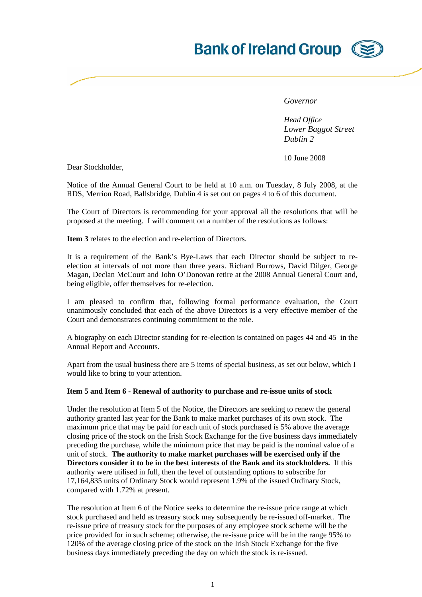# **Bank of Ireland Group (SE**

*Governor* 

*Head Office Lower Baggot Street Dublin 2*

10 June 2008

Dear Stockholder,

Notice of the Annual General Court to be held at 10 a.m. on Tuesday, 8 July 2008, at the RDS, Merrion Road, Ballsbridge, Dublin 4 is set out on pages 4 to 6 of this document.

The Court of Directors is recommending for your approval all the resolutions that will be proposed at the meeting. I will comment on a number of the resolutions as follows:

**Item 3** relates to the election and re-election of Directors.

It is a requirement of the Bank's Bye-Laws that each Director should be subject to reelection at intervals of not more than three years. Richard Burrows, David Dilger, George Magan, Declan McCourt and John O'Donovan retire at the 2008 Annual General Court and, being eligible, offer themselves for re-election.

I am pleased to confirm that, following formal performance evaluation, the Court unanimously concluded that each of the above Directors is a very effective member of the Court and demonstrates continuing commitment to the role.

A biography on each Director standing for re-election is contained on pages 44 and 45 in the Annual Report and Accounts.

Apart from the usual business there are 5 items of special business, as set out below, which I would like to bring to your attention.

#### **Item 5 and Item 6 - Renewal of authority to purchase and re-issue units of stock**

Under the resolution at Item 5 of the Notice, the Directors are seeking to renew the general authority granted last year for the Bank to make market purchases of its own stock. The maximum price that may be paid for each unit of stock purchased is 5% above the average closing price of the stock on the Irish Stock Exchange for the five business days immediately preceding the purchase, while the minimum price that may be paid is the nominal value of a unit of stock. **The authority to make market purchases will be exercised only if the Directors consider it to be in the best interests of the Bank and its stockholders.** If this authority were utilised in full, then the level of outstanding options to subscribe for 17,164,835 units of Ordinary Stock would represent 1.9% of the issued Ordinary Stock, compared with 1.72% at present.

The resolution at Item 6 of the Notice seeks to determine the re-issue price range at which stock purchased and held as treasury stock may subsequently be re-issued off-market. The re-issue price of treasury stock for the purposes of any employee stock scheme will be the price provided for in such scheme; otherwise, the re-issue price will be in the range 95% to 120% of the average closing price of the stock on the Irish Stock Exchange for the five business days immediately preceding the day on which the stock is re-issued.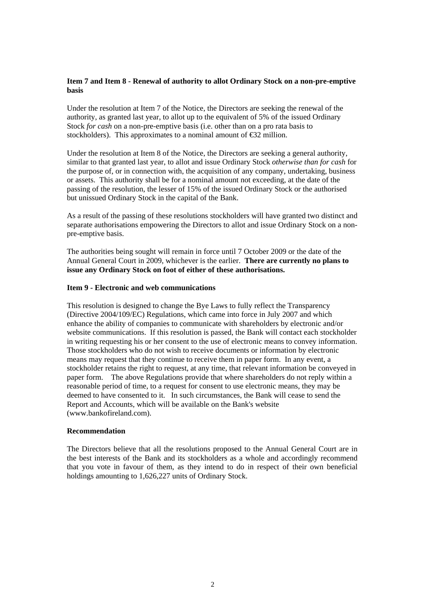#### **Item 7 and Item 8 - Renewal of authority to allot Ordinary Stock on a non-pre-emptive basis**

Under the resolution at Item 7 of the Notice, the Directors are seeking the renewal of the authority, as granted last year, to allot up to the equivalent of 5% of the issued Ordinary Stock *for cash* on a non-pre-emptive basis (i.e. other than on a pro rata basis to stockholders). This approximates to a nominal amount of €32 million.

Under the resolution at Item 8 of the Notice, the Directors are seeking a general authority, similar to that granted last year, to allot and issue Ordinary Stock *otherwise than for cash* for the purpose of, or in connection with, the acquisition of any company, undertaking, business or assets. This authority shall be for a nominal amount not exceeding, at the date of the passing of the resolution, the lesser of 15% of the issued Ordinary Stock or the authorised but unissued Ordinary Stock in the capital of the Bank.

As a result of the passing of these resolutions stockholders will have granted two distinct and separate authorisations empowering the Directors to allot and issue Ordinary Stock on a nonpre-emptive basis.

The authorities being sought will remain in force until 7 October 2009 or the date of the Annual General Court in 2009, whichever is the earlier. **There are currently no plans to issue any Ordinary Stock on foot of either of these authorisations.**

#### **Item 9 - Electronic and web communications**

This resolution is designed to change the Bye Laws to fully reflect the Transparency (Directive 2004/109/EC) Regulations, which came into force in July 2007 and which enhance the ability of companies to communicate with shareholders by electronic and/or website communications. If this resolution is passed, the Bank will contact each stockholder in writing requesting his or her consent to the use of electronic means to convey information. Those stockholders who do not wish to receive documents or information by electronic means may request that they continue to receive them in paper form. In any event, a stockholder retains the right to request, at any time, that relevant information be conveyed in paper form. The above Regulations provide that where shareholders do not reply within a reasonable period of time, to a request for consent to use electronic means, they may be deemed to have consented to it. In such circumstances, the Bank will cease to send the Report and Accounts, which will be available on the Bank's website (www.bankofireland.com).

#### **Recommendation**

The Directors believe that all the resolutions proposed to the Annual General Court are in the best interests of the Bank and its stockholders as a whole and accordingly recommend that you vote in favour of them, as they intend to do in respect of their own beneficial holdings amounting to 1,626,227 units of Ordinary Stock.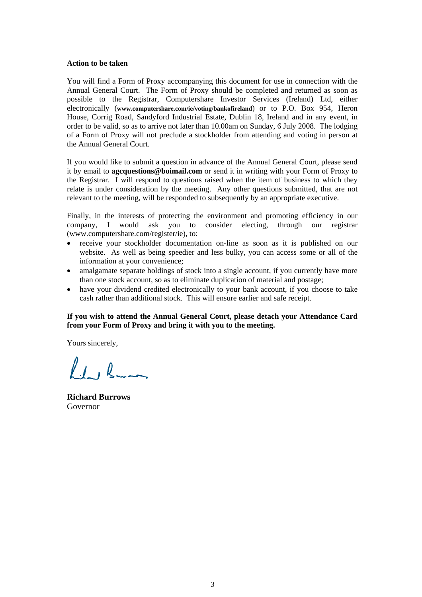#### **Action to be taken**

You will find a Form of Proxy accompanying this document for use in connection with the Annual General Court. The Form of Proxy should be completed and returned as soon as possible to the Registrar, Computershare Investor Services (Ireland) Ltd, either electronically (**www.computershare.com/ie/voting/bankofireland**) or to P.O. Box 954, Heron House, Corrig Road, Sandyford Industrial Estate, Dublin 18, Ireland and in any event, in order to be valid, so as to arrive not later than 10.00am on Sunday, 6 July 2008. The lodging of a Form of Proxy will not preclude a stockholder from attending and voting in person at the Annual General Court.

If you would like to submit a question in advance of the Annual General Court, please send it by email to **agcquestions@boimail.com** or send it in writing with your Form of Proxy to the Registrar. I will respond to questions raised when the item of business to which they relate is under consideration by the meeting. Any other questions submitted, that are not relevant to the meeting, will be responded to subsequently by an appropriate executive.

Finally, in the interests of protecting the environment and promoting efficiency in our company, I would ask you to consider electing, through our registrar (www.computershare.com/register/ie), to:

- receive your stockholder documentation on-line as soon as it is published on our website. As well as being speedier and less bulky, you can access some or all of the information at your convenience;
- amalgamate separate holdings of stock into a single account, if you currently have more than one stock account, so as to eliminate duplication of material and postage;
- have your dividend credited electronically to your bank account, if you choose to take cash rather than additional stock. This will ensure earlier and safe receipt.

#### **If you wish to attend the Annual General Court, please detach your Attendance Card from your Form of Proxy and bring it with you to the meeting.**

Yours sincerely,

 $l_1, l_2$ 

**Richard Burrows**  Governor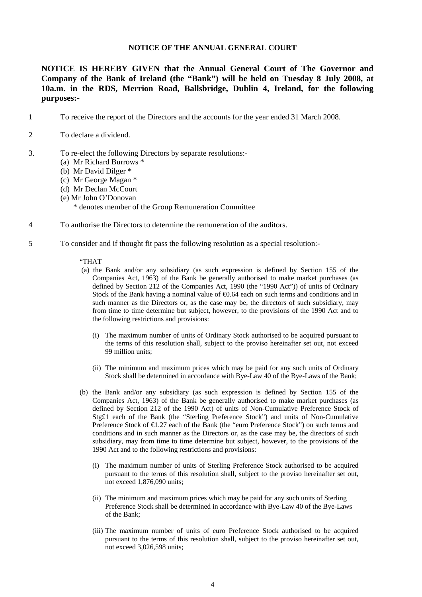#### **NOTICE OF THE ANNUAL GENERAL COURT**

**NOTICE IS HEREBY GIVEN that the Annual General Court of The Governor and Company of the Bank of Ireland (the "Bank") will be held on Tuesday 8 July 2008, at 10a.m. in the RDS, Merrion Road, Ballsbridge, Dublin 4, Ireland, for the following purposes:-** 

- 1 To receive the report of the Directors and the accounts for the year ended 31 March 2008.
- 2 To declare a dividend.
- 3. To re-elect the following Directors by separate resolutions:-
	- (a) Mr Richard Burrows \*
	- (b) Mr David Dilger \*
	- (c) Mr George Magan \*
	- (d) Mr Declan McCourt
	- (e) Mr John O'Donovan

\* denotes member of the Group Remuneration Committee

- 4 To authorise the Directors to determine the remuneration of the auditors.
- 5 To consider and if thought fit pass the following resolution as a special resolution:-

#### "THAT

- (a) the Bank and/or any subsidiary (as such expression is defined by Section 155 of the Companies Act, 1963) of the Bank be generally authorised to make market purchases (as defined by Section 212 of the Companies Act, 1990 (the "1990 Act")) of units of Ordinary Stock of the Bank having a nominal value of  $\Theta$ .64 each on such terms and conditions and in such manner as the Directors or, as the case may be, the directors of such subsidiary, may from time to time determine but subject, however, to the provisions of the 1990 Act and to the following restrictions and provisions:
	- (i) The maximum number of units of Ordinary Stock authorised to be acquired pursuant to the terms of this resolution shall, subject to the proviso hereinafter set out, not exceed 99 million units;
	- (ii) The minimum and maximum prices which may be paid for any such units of Ordinary Stock shall be determined in accordance with Bye-Law 40 of the Bye-Laws of the Bank;
- (b) the Bank and/or any subsidiary (as such expression is defined by Section 155 of the Companies Act, 1963) of the Bank be generally authorised to make market purchases (as defined by Section 212 of the 1990 Act) of units of Non-Cumulative Preference Stock of Stg£1 each of the Bank (the "Sterling Preference Stock") and units of Non-Cumulative Preference Stock of €1.27 each of the Bank (the "euro Preference Stock") on such terms and conditions and in such manner as the Directors or, as the case may be, the directors of such subsidiary, may from time to time determine but subject, however, to the provisions of the 1990 Act and to the following restrictions and provisions:
	- (i) The maximum number of units of Sterling Preference Stock authorised to be acquired pursuant to the terms of this resolution shall, subject to the proviso hereinafter set out, not exceed 1,876,090 units;
	- (ii) The minimum and maximum prices which may be paid for any such units of Sterling Preference Stock shall be determined in accordance with Bye-Law 40 of the Bye-Laws of the Bank;
	- (iii) The maximum number of units of euro Preference Stock authorised to be acquired pursuant to the terms of this resolution shall, subject to the proviso hereinafter set out, not exceed 3,026,598 units;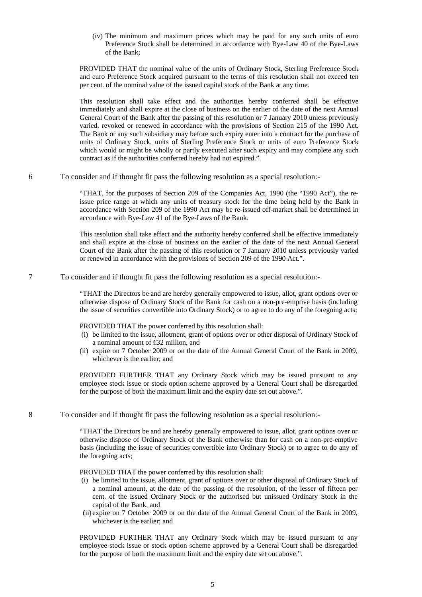(iv) The minimum and maximum prices which may be paid for any such units of euro Preference Stock shall be determined in accordance with Bye-Law 40 of the Bye-Laws of the Bank;

PROVIDED THAT the nominal value of the units of Ordinary Stock, Sterling Preference Stock and euro Preference Stock acquired pursuant to the terms of this resolution shall not exceed ten per cent. of the nominal value of the issued capital stock of the Bank at any time.

 This resolution shall take effect and the authorities hereby conferred shall be effective immediately and shall expire at the close of business on the earlier of the date of the next Annual General Court of the Bank after the passing of this resolution or 7 January 2010 unless previously varied, revoked or renewed in accordance with the provisions of Section 215 of the 1990 Act. The Bank or any such subsidiary may before such expiry enter into a contract for the purchase of units of Ordinary Stock, units of Sterling Preference Stock or units of euro Preference Stock which would or might be wholly or partly executed after such expiry and may complete any such contract as if the authorities conferred hereby had not expired.".

6 To consider and if thought fit pass the following resolution as a special resolution:-

"THAT, for the purposes of Section 209 of the Companies Act, 1990 (the "1990 Act"), the reissue price range at which any units of treasury stock for the time being held by the Bank in accordance with Section 209 of the 1990 Act may be re-issued off-market shall be determined in accordance with Bye-Law 41 of the Bye-Laws of the Bank.

This resolution shall take effect and the authority hereby conferred shall be effective immediately and shall expire at the close of business on the earlier of the date of the next Annual General Court of the Bank after the passing of this resolution or 7 January 2010 unless previously varied or renewed in accordance with the provisions of Section 209 of the 1990 Act.".

7 To consider and if thought fit pass the following resolution as a special resolution:-

"THAT the Directors be and are hereby generally empowered to issue, allot, grant options over or otherwise dispose of Ordinary Stock of the Bank for cash on a non-pre-emptive basis (including the issue of securities convertible into Ordinary Stock) or to agree to do any of the foregoing acts;

PROVIDED THAT the power conferred by this resolution shall:

- (i) be limited to the issue, allotment, grant of options over or other disposal of Ordinary Stock of a nominal amount of €32 million, and
- (ii) expire on 7 October 2009 or on the date of the Annual General Court of the Bank in 2009, whichever is the earlier; and

PROVIDED FURTHER THAT any Ordinary Stock which may be issued pursuant to any employee stock issue or stock option scheme approved by a General Court shall be disregarded for the purpose of both the maximum limit and the expiry date set out above.".

8 To consider and if thought fit pass the following resolution as a special resolution:-

"THAT the Directors be and are hereby generally empowered to issue, allot, grant options over or otherwise dispose of Ordinary Stock of the Bank otherwise than for cash on a non-pre-emptive basis (including the issue of securities convertible into Ordinary Stock) or to agree to do any of the foregoing acts;

PROVIDED THAT the power conferred by this resolution shall:

- (i) be limited to the issue, allotment, grant of options over or other disposal of Ordinary Stock of a nominal amount, at the date of the passing of the resolution, of the lesser of fifteen per cent. of the issued Ordinary Stock or the authorised but unissued Ordinary Stock in the capital of the Bank, and
- (ii) expire on 7 October 2009 or on the date of the Annual General Court of the Bank in 2009, whichever is the earlier; and

 PROVIDED FURTHER THAT any Ordinary Stock which may be issued pursuant to any employee stock issue or stock option scheme approved by a General Court shall be disregarded for the purpose of both the maximum limit and the expiry date set out above.".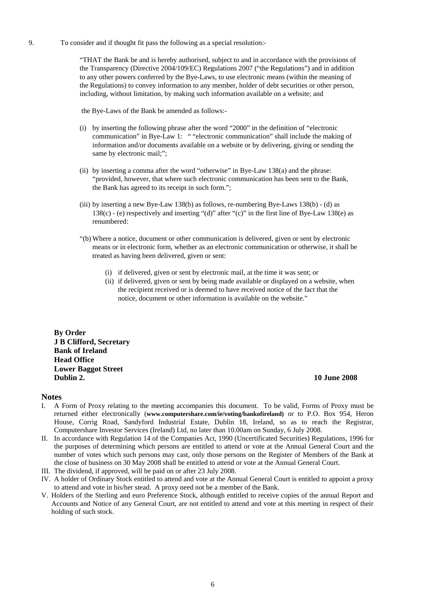9. To consider and if thought fit pass the following as a special resolution:-

"THAT the Bank be and is hereby authorised, subject to and in accordance with the provisions of the Transparency (Directive 2004/109/EC) Regulations 2007 ("the Regulations") and in addition to any other powers conferred by the Bye-Laws, to use electronic means (within the meaning of the Regulations) to convey information to any member, holder of debt securities or other person, including, without limitation, by making such information available on a website; and

the Bye-Laws of the Bank be amended as follows:-

- (i) by inserting the following phrase after the word "2000" in the definition of "electronic communication" in Bye-Law 1: " "electronic communication" shall include the making of information and/or documents available on a website or by delivering, giving or sending the same by electronic mail;";
- (ii) by inserting a comma after the word "otherwise" in Bye-Law 138(a) and the phrase: "provided, however, that where such electronic communication has been sent to the Bank, the Bank has agreed to its receipt in such form.";
- (iii) by inserting a new Bye-Law 138(b) as follows, re-numbering Bye-Laws 138(b) (d) as 138(c) - (e) respectively and inserting "(d)" after "(c)" in the first line of Bye-Law 138(e) as renumbered:
- "(b) Where a notice, document or other communication is delivered, given or sent by electronic means or in electronic form, whether as an electronic communication or otherwise, it shall be treated as having been delivered, given or sent:
	- (i) if delivered, given or sent by electronic mail, at the time it was sent; or
	- (ii) if delivered, given or sent by being made available or displayed on a website, when the recipient received or is deemed to have received notice of the fact that the notice, document or other information is available on the website."

**By Order J B Clifford, Secretary Bank of Ireland Head Office Lower Baggot Street Dublin 2. 10 June 2008** 

#### **Notes**

- I. A Form of Proxy relating to the meeting accompanies this document. To be valid, Forms of Proxy must be returned either electronically (**www.computershare.com/ie/voting/bankofireland)** or to P.O. Box 954, Heron House, Corrig Road, Sandyford Industrial Estate, Dublin 18, Ireland, so as to reach the Registrar, Computershare Investor Services (Ireland) Ltd, no later than 10.00am on Sunday, 6 July 2008.
- II. In accordance with Regulation 14 of the Companies Act, 1990 (Uncertificated Securities) Regulations, 1996 for the purposes of determining which persons are entitled to attend or vote at the Annual General Court and the number of votes which such persons may cast, only those persons on the Register of Members of the Bank at the close of business on 30 May 2008 shall be entitled to attend or vote at the Annual General Court.
- III. The dividend, if approved, will be paid on or after 23 July 2008.
- IV. A holder of Ordinary Stock entitled to attend and vote at the Annual General Court is entitled to appoint a proxy to attend and vote in his/her stead. A proxy need not be a member of the Bank.
- V. Holders of the Sterling and euro Preference Stock, although entitled to receive copies of the annual Report and Accounts and Notice of any General Court, are not entitled to attend and vote at this meeting in respect of their holding of such stock.